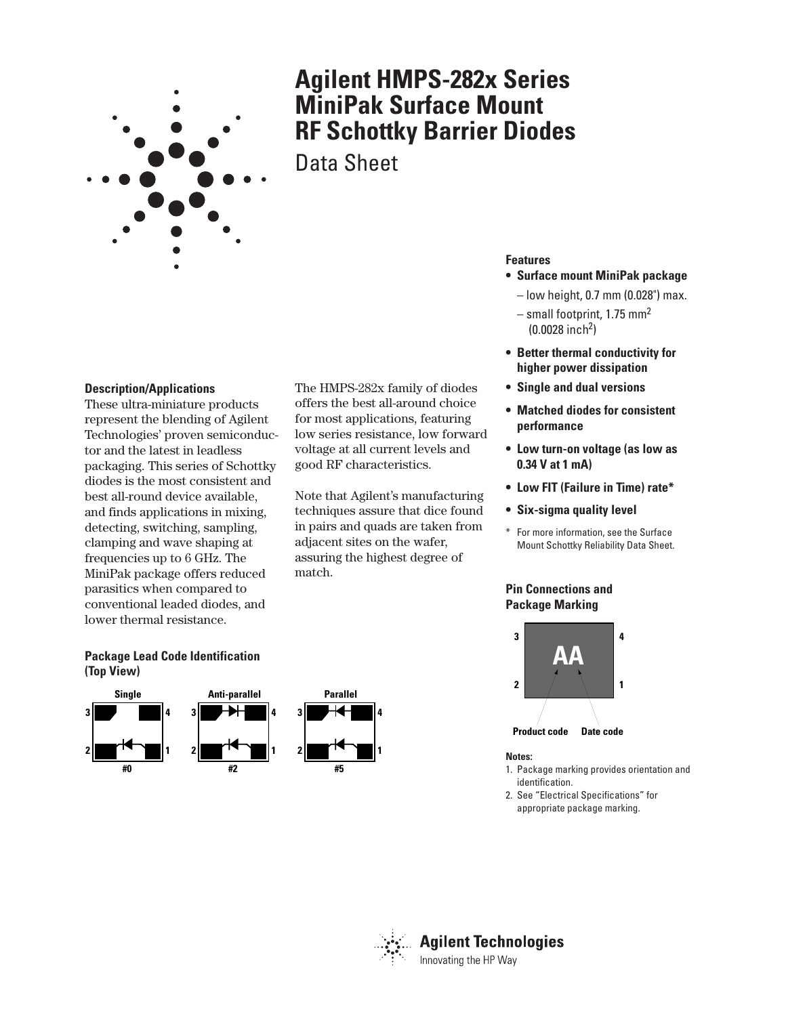

# **Agilent HMPS-282x Series MiniPak Surface Mount RF Schottky Barrier Diodes**

Data Sheet

#### **Description/Applications**

These ultra-miniature products represent the blending of Agilent Technologies' proven semiconductor and the latest in leadless packaging. This series of Schottky diodes is the most consistent and best all-round device available, and finds applications in mixing, detecting, switching, sampling, clamping and wave shaping at frequencies up to 6 GHz. The MiniPak package offers reduced parasitics when compared to conventional leaded diodes, and lower thermal resistance.

The HMPS-282x family of diodes offers the best all-around choice for most applications, featuring low series resistance, low forward voltage at all current levels and good RF characteristics.

Note that Agilent's manufacturing techniques assure that dice found in pairs and quads are taken from adjacent sites on the wafer, assuring the highest degree of match.

#### **Features**

- **Surface mount MiniPak package**
	- low height, 0.7 mm (0.028") max.
- small footprint, 1.75 mm2  $(0.0028$  inch<sup>2</sup>)
- **Better thermal conductivity for higher power dissipation**
- **Single and dual versions**
- **Matched diodes for consistent performance**
- **Low turn-on voltage (as low as 0.34␣ V at 1 mA)**
- **Low FIT (Failure in Time) rate\***
- **Six-sigma quality level**
- \* For more information, see the Surface Mount Schottky Reliability Data Sheet.

### **Pin Connections and Package Marking**



#### **Notes:**

- 1. Package marking provides orientation and identification.
- 2. See "Electrical Specifications" for appropriate package marking.



**3**

**2**



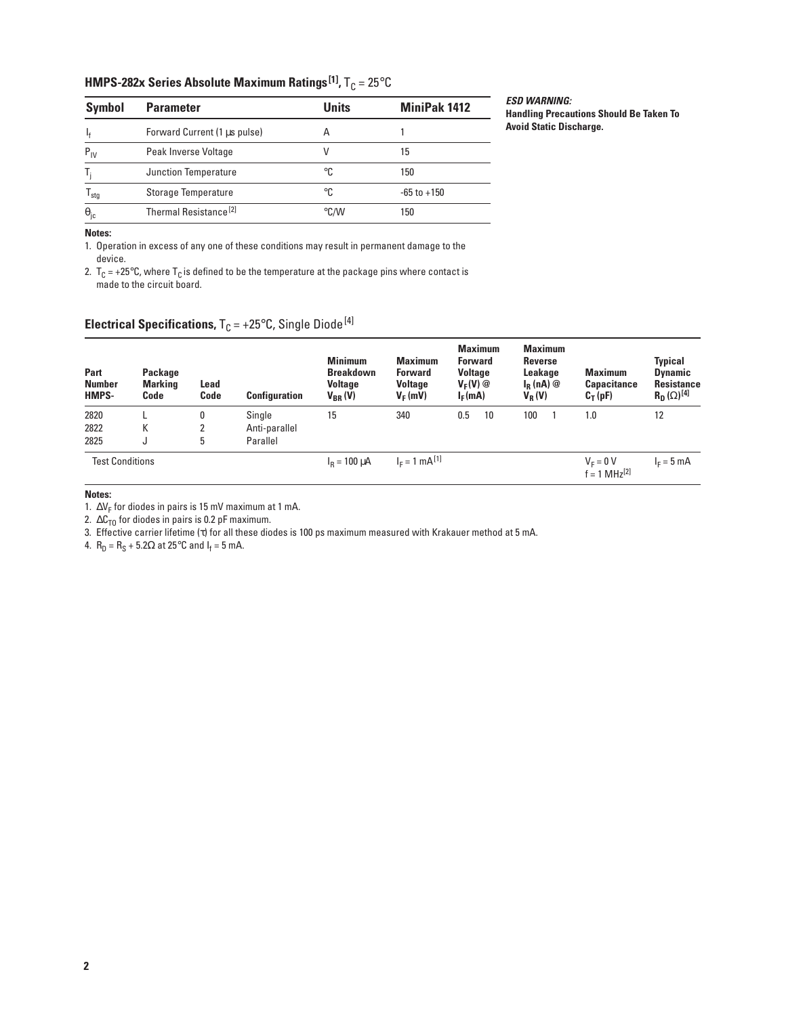## **HMPS-282x Series Absolute Maximum Ratings<sup>[1]</sup>, T<sub>C</sub> = 25°C**

| Symbol            | <b>Parameter</b>                  | <b>Units</b>  | <b>MiniPak 1412</b> |
|-------------------|-----------------------------------|---------------|---------------------|
|                   | Forward Current (1 µs pulse)      | А             |                     |
| $P_{IV}$          | Peak Inverse Voltage              |               | 15                  |
| Т.                | Junction Temperature              | °C            | 150                 |
| $T_{\text{stg}}$  | Storage Temperature               | °C            | $-65$ to $+150$     |
| $\theta_{\rm jc}$ | Thermal Resistance <sup>[2]</sup> | $\degree$ C/W | 150                 |

**ESD WARNING: Handling Precautions Should Be Taken To Avoid Static Discharge.**

**Notes:**

1. Operation in excess of any one of these conditions may result in permanent damage to the device.

2.  $T_c = +25^{\circ}$ C, where  $T_c$  is defined to be the temperature at the package pins where contact is made to the circuit board.

## **Electrical Specifications,**  $T_C = +25^{\circ}C$ , Single Diode<sup>[4]</sup>

| Part<br><b>Number</b><br>HMPS- | Package<br>Marking<br>Code | Lead<br>Code | <b>Configuration</b> | <b>Minimum</b><br><b>Breakdown</b><br><b>Voltage</b><br>$V_{BR} (V)$ | <b>Maximum</b><br><b>Forward</b><br><b>Voltage</b><br>$V_F(mV)$ | <b>Maximum</b><br><b>Forward</b><br><b>Voltage</b><br>$V_F(V)$ @<br>$I_F(mA)$ | <b>Maximum</b><br><b>Reverse</b><br>Leakage<br>$I_R(nA)$ @<br>$V_R(V)$ | <b>Maximum</b><br><b>Capacitance</b><br>$C_T(pF)$ | <b>Typical</b><br><b>Dynamic</b><br>Resistance<br>$R_D(\Omega)^{[4]}$ |
|--------------------------------|----------------------------|--------------|----------------------|----------------------------------------------------------------------|-----------------------------------------------------------------|-------------------------------------------------------------------------------|------------------------------------------------------------------------|---------------------------------------------------|-----------------------------------------------------------------------|
| 2820                           |                            | 0            | Single               | 15                                                                   | 340                                                             | 0.5<br>10                                                                     | 100                                                                    | 1.0                                               | 12                                                                    |
| 2822                           | К                          | 2            | Anti-parallel        |                                                                      |                                                                 |                                                                               |                                                                        |                                                   |                                                                       |
| 2825                           | u                          | 5            | Parallel             |                                                                      |                                                                 |                                                                               |                                                                        |                                                   |                                                                       |
| <b>Test Conditions</b>         |                            |              |                      | $I_R = 100 \mu A$                                                    | $I_F = 1$ mA <sup>[1]</sup>                                     |                                                                               |                                                                        | $V_F = 0 V$<br>$f = 1 MHz^{[2]}$                  | $IE = 5 mA$                                                           |

#### **Notes:**

1.  $\Delta V_F$  for diodes in pairs is 15 mV maximum at 1 mA.

2.  $\Delta C_{TO}$  for diodes in pairs is 0.2 pF maximum.

3. Effective carrier lifetime (τ) for all these diodes is 100 ps maximum measured with Krakauer method at 5 mA.

4.  $R_D = R_S + 5.2Ω$  at 25°C and l<sub>f</sub> = 5 mA.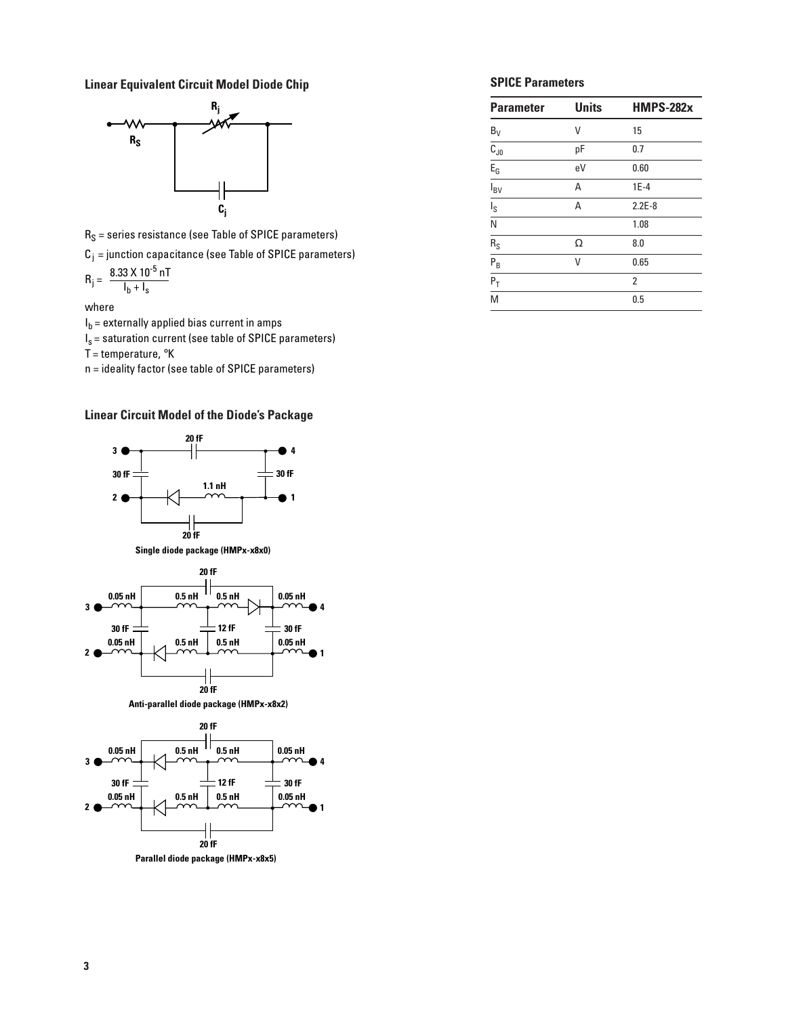**Linear Equivalent Circuit Model Diode Chip SPICE Parameters** 



 $R_S$  = series resistance (see Table of SPICE parameters)

 $C_j$  = junction capacitance (see Table of SPICE parameters)

$$
R_{j} = \frac{8.33 \times 10^{-5} \,\mathrm{nT}}{I_{b} + I_{s}}
$$

where

- $I_b$  = externally applied bias current in amps
- $I_s$  = saturation current (see table of SPICE parameters)

T = temperature,  $\mathrm{R}$ K

n = ideality factor (see table of SPICE parameters)

#### **Linear Circuit Model of the Diode's Package**







**Anti-parallel diode package (HMPx-x8x2)**



**Parallel diode package (HMPx-x8x5)**

| <b>Parameter</b>                   | <b>Units</b> | <b>HMPS-282x</b> |
|------------------------------------|--------------|------------------|
| $B_V$                              | ٧            | 15               |
| $\overline{C_{J0}}$                | pF           | 0.7              |
| $E_{G}$                            | eV           | 0.60             |
| $\overline{I_{BV}}$                | Α            | $1E-4$           |
| $I_{\rm S}$                        | A            | $2.2E-8$         |
| $\overline{\overline{\mathsf{N}}}$ |              | 1.08             |
| $rac{R_S}{P_B}$                    | Ω            | 8.0              |
|                                    | V            | 0.65             |
| $\overline{P_T}$                   |              | 2                |
| M                                  |              | 0.5              |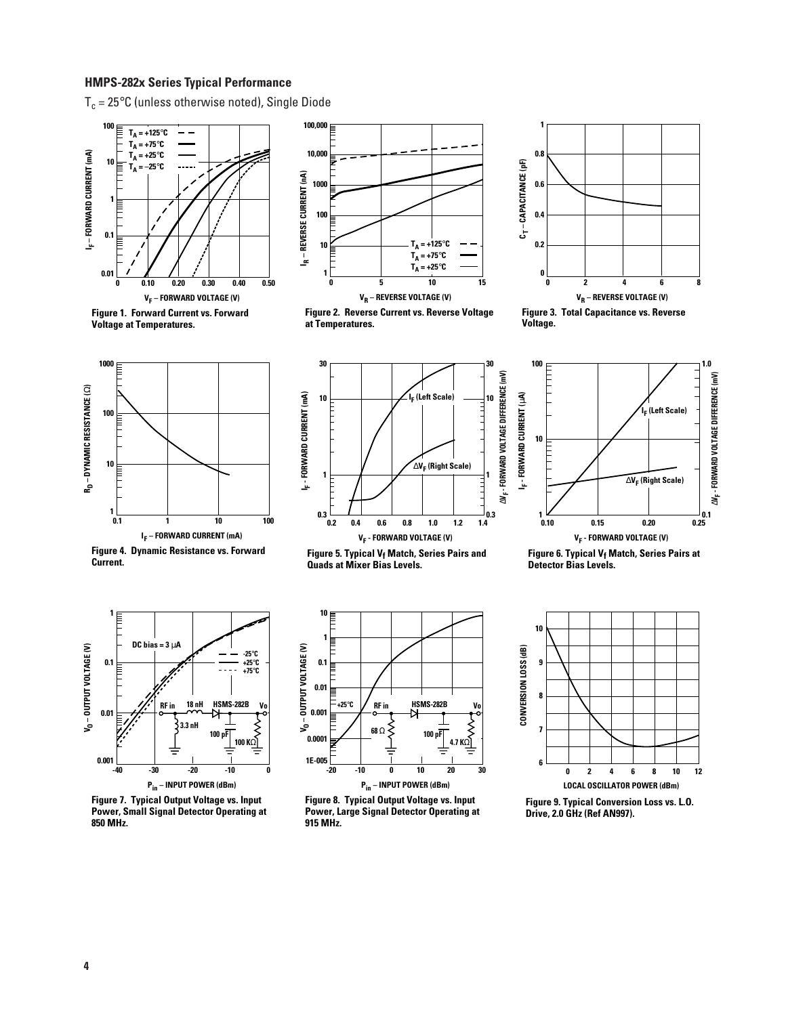#### **HMPS-282x Series Typical Performance**

 $T_c = 25^{\circ}$ C (unless otherwise noted), Single Diode



**Figure 1. Forward Current vs. Forward Voltage at Temperatures.**



**Figure 2. Reverse Current vs. Reverse Voltage at Temperatures.**



**Figure 3. Total Capacitance vs. Reverse Voltage.**



**Figure 4. Dynamic Resistance vs. Forward** 



**Figure 5. Typical Vf Match, Series Pairs and Quads at Mixer Bias Levels.**



**Figure 6. Typical Vf Match, Series Pairs at Detector Bias Levels.** 



**Figure 7. Typical Output Voltage vs. Input Power, Small Signal Detector Operating at 850 MHz.**



**Figure 8. Typical Output Voltage vs. Input Power, Large Signal Detector Operating at 915 MHz.**



**Figure 9. Typical Conversion Loss vs. L.O.** 



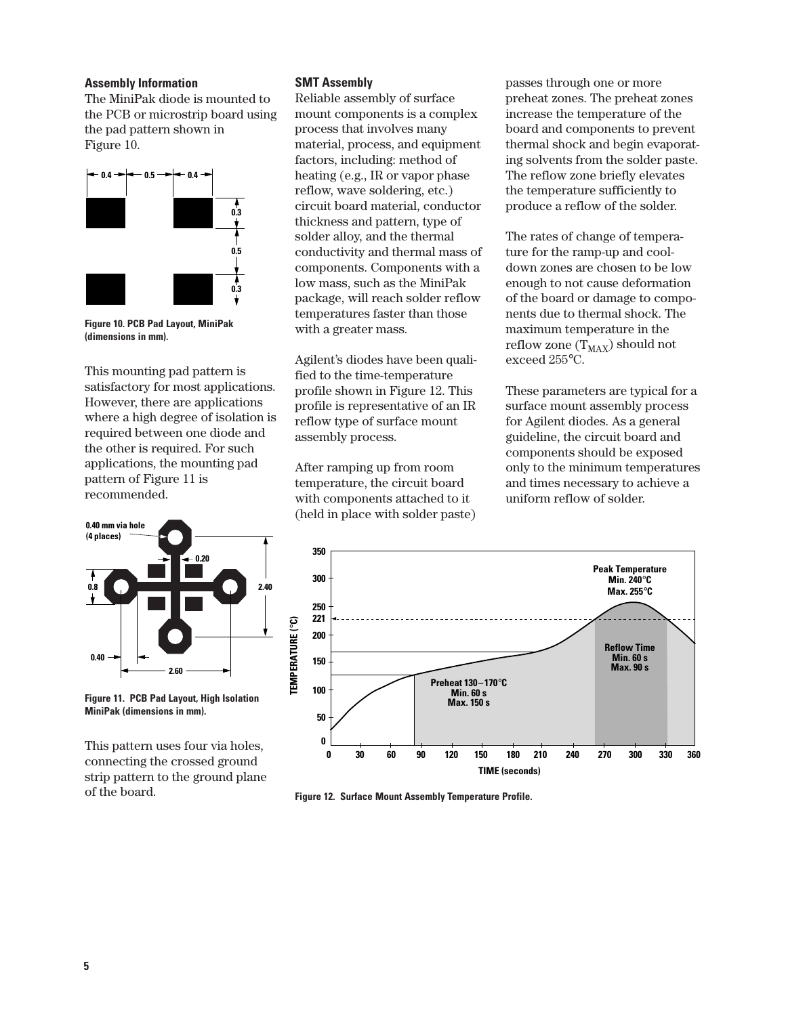#### **Assembly Information**

The MiniPak diode is mounted to the PCB or microstrip board using the pad pattern shown in Figure 10.



**Figure 10. PCB Pad Layout, MiniPak (dimensions in mm).**

This mounting pad pattern is satisfactory for most applications. However, there are applications where a high degree of isolation is required between one diode and the other is required. For such applications, the mounting pad pattern of Figure 11 is recommended.



**Figure 11. PCB Pad Layout, High Isolation MiniPak (dimensions in mm).**

This pattern uses four via holes, connecting the crossed ground strip pattern to the ground plane of the board.

#### **SMT Assembly**

Reliable assembly of surface mount components is a complex process that involves many material, process, and equipment factors, including: method of heating (e.g., IR or vapor phase reflow, wave soldering, etc.) circuit board material, conductor thickness and pattern, type of solder alloy, and the thermal conductivity and thermal mass of components. Components with a low mass, such as the MiniPak package, will reach solder reflow temperatures faster than those with a greater mass.

Agilent's diodes have been qualified to the time-temperature profile shown in Figure 12. This profile is representative of an IR reflow type of surface mount assembly process.

After ramping up from room temperature, the circuit board with components attached to it (held in place with solder paste) passes through one or more preheat zones. The preheat zones increase the temperature of the board and components to prevent thermal shock and begin evaporating solvents from the solder paste. The reflow zone briefly elevates the temperature sufficiently to produce a reflow of the solder.

The rates of change of temperature for the ramp-up and cooldown zones are chosen to be low enough to not cause deformation of the board or damage to components due to thermal shock. The maximum temperature in the reflow zone  $(T_{MAX})$  should not exceed 255°C.

These parameters are typical for a surface mount assembly process for Agilent diodes. As a general guideline, the circuit board and components should be exposed only to the minimum temperatures and times necessary to achieve a uniform reflow of solder.



**Figure 12. Surface Mount Assembly Temperature Profile.**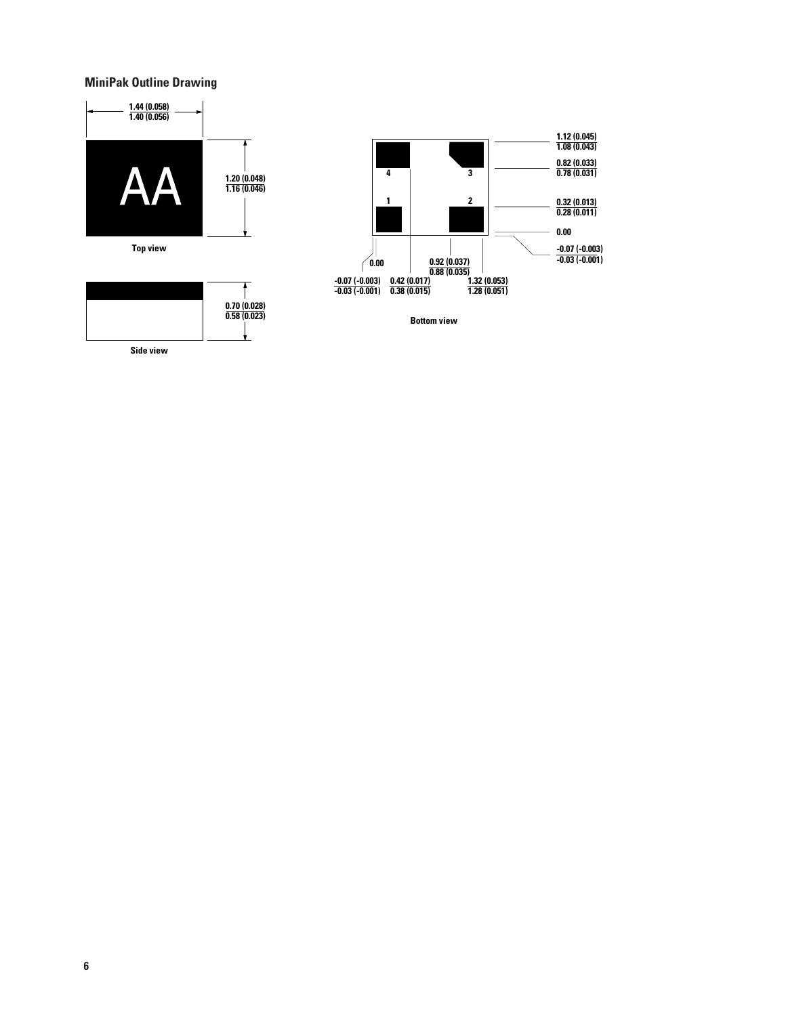### **MiniPak Outline Drawing**







**Bottom view**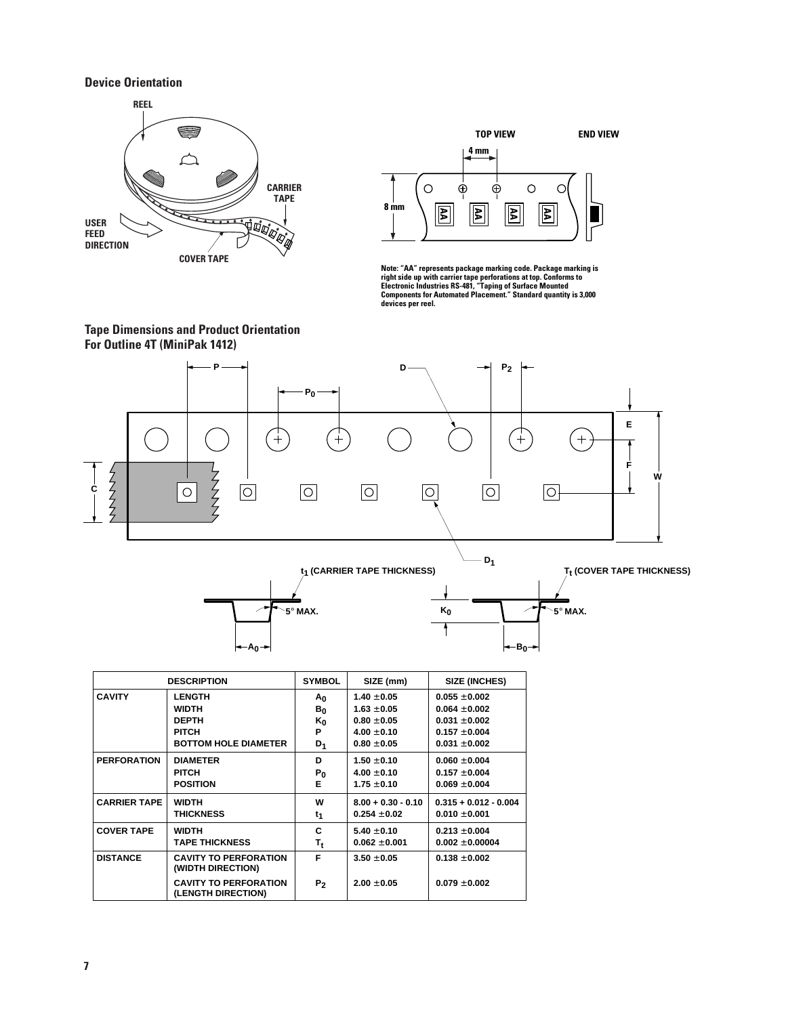#### **Device Orientation**





Note: "AA" represents package marking code. Package marking is<br>right side up with carrier tape perforations at top. Conforms to<br>Electronic Industries RS-481, "Taping of Surface Mounted<br>Components for Automated Placement." **devices per reel.**

**B**<sub>0</sub>

F



|                     | <b>DESCRIPTION</b>                                 | <b>SYMBOL</b>  | SIZE (mm)            | <b>SIZE (INCHES)</b>    |
|---------------------|----------------------------------------------------|----------------|----------------------|-------------------------|
| <b>CAVITY</b>       | <b>LENGTH</b>                                      | Αo             | $1.40 \pm 0.05$      | $0.055 \pm 0.002$       |
|                     | <b>WIDTH</b>                                       | B <sub>0</sub> | $1.63 \pm 0.05$      | $0.064 \pm 0.002$       |
|                     | <b>DEPTH</b>                                       | $K_0$          | $0.80 \pm 0.05$      | $0.031 \pm 0.002$       |
|                     | <b>PITCH</b>                                       | P              | $4.00 + 0.10$        | $0.157 + 0.004$         |
|                     | <b>BOTTOM HOLE DIAMETER</b>                        | D <sub>1</sub> | $0.80 + 0.05$        | $0.031 + 0.002$         |
| <b>PERFORATION</b>  | <b>DIAMETER</b>                                    | D              | $1.50 + 0.10$        | $0.060 + 0.004$         |
|                     | <b>PITCH</b>                                       | $P_0$          | $4.00 \pm 0.10$      | $0.157 \pm 0.004$       |
|                     | <b>POSITION</b>                                    | Е              | $1.75 + 0.10$        | $0.069 \pm 0.004$       |
| <b>CARRIER TAPE</b> | <b>WIDTH</b>                                       | w              | $8.00 + 0.30 - 0.10$ | $0.315 + 0.012 - 0.004$ |
|                     | <b>THICKNESS</b>                                   | t <sub>1</sub> | $0.254 + 0.02$       | $0.010 + 0.001$         |
| <b>COVER TAPE</b>   | <b>WIDTH</b>                                       | C              | $5.40 + 0.10$        | $0.213 + 0.004$         |
|                     | <b>TAPE THICKNESS</b>                              | T,             | $0.062 + 0.001$      | $0.002 + 0.00004$       |
| <b>DISTANCE</b>     | <b>CAVITY TO PERFORATION</b><br>(WIDTH DIRECTION)  | F              | $3.50 + 0.05$        | $0.138 + 0.002$         |
|                     | <b>CAVITY TO PERFORATION</b><br>(LENGTH DIRECTION) | P <sub>2</sub> | $2.00 + 0.05$        | $0.079 \pm 0.002$       |

**A0**

**7**